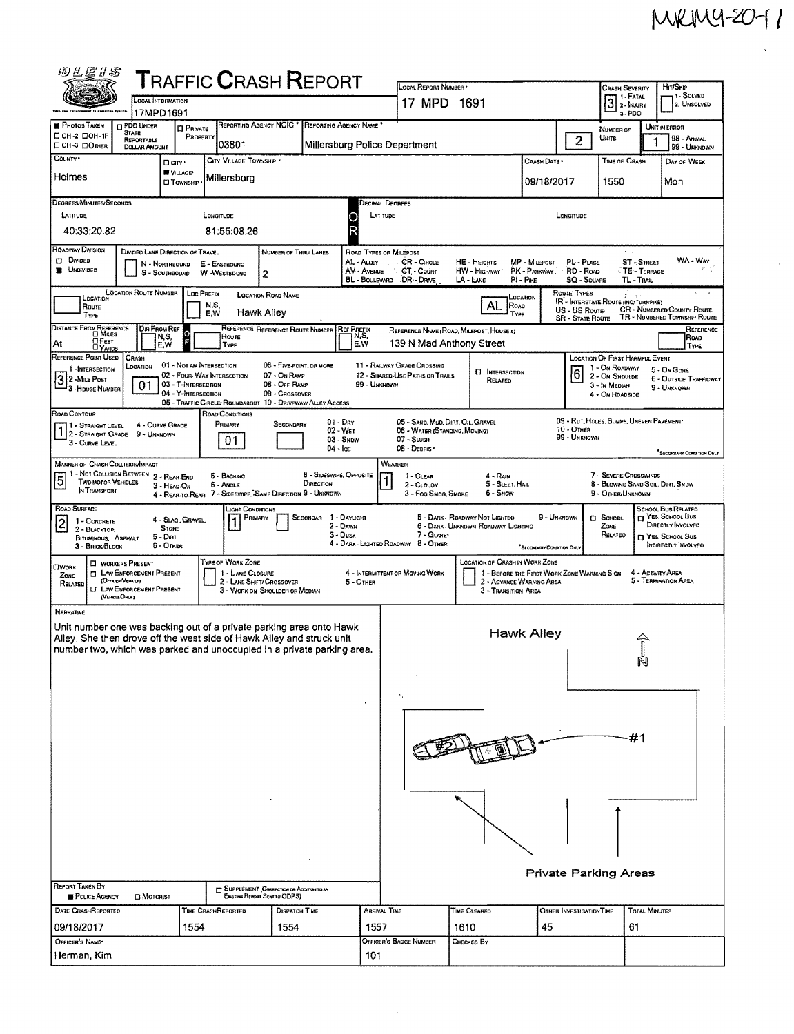$\sim$ 

| 网上医》S                                                                                                                                                                                                                                                                                                                                                                                                                                                                                                                          |                                                                                                                                      |                                                                                                                                                                                                                                                                                                                                      |                                                        |                                                                                 | ${\sf T}$ RAFFIC ${\sf C}$ RASH ${\sf R}$ EPORT                               |                                                          |                                  | LOCAL REPORT NUMBER                                                                              |                      |                                                                                   |                                                                      |                              |                                                                                          | <b>CRASH SEVERITY</b>                                                            |                             | Hm/SKIP                         |  |  |  |
|--------------------------------------------------------------------------------------------------------------------------------------------------------------------------------------------------------------------------------------------------------------------------------------------------------------------------------------------------------------------------------------------------------------------------------------------------------------------------------------------------------------------------------|--------------------------------------------------------------------------------------------------------------------------------------|--------------------------------------------------------------------------------------------------------------------------------------------------------------------------------------------------------------------------------------------------------------------------------------------------------------------------------------|--------------------------------------------------------|---------------------------------------------------------------------------------|-------------------------------------------------------------------------------|----------------------------------------------------------|----------------------------------|--------------------------------------------------------------------------------------------------|----------------------|-----------------------------------------------------------------------------------|----------------------------------------------------------------------|------------------------------|------------------------------------------------------------------------------------------|----------------------------------------------------------------------------------|-----------------------------|---------------------------------|--|--|--|
|                                                                                                                                                                                                                                                                                                                                                                                                                                                                                                                                |                                                                                                                                      |                                                                                                                                                                                                                                                                                                                                      |                                                        |                                                                                 | 17 MPD 1691                                                                   |                                                          |                                  |                                                                                                  |                      |                                                                                   | 1 FATAL<br>$31.1$ MURY                                               | 11 - SOLVED<br>2. UNSOLVED   |                                                                                          |                                                                                  |                             |                                 |  |  |  |
| <b>PHOTOS TAKEN</b>                                                                                                                                                                                                                                                                                                                                                                                                                                                                                                            | 17MPD1691<br><b>DPDO UNDER</b>                                                                                                       | <b>D</b> PRIVATE                                                                                                                                                                                                                                                                                                                     |                                                        | REPORTING AGENCY NCIC <sup>+</sup>                                              | REPORTING AGENCY NAME                                                         |                                                          |                                  |                                                                                                  |                      |                                                                                   |                                                                      |                              |                                                                                          | 3-PDO<br>UNIT IN ERROR<br>NUMBER OF                                              |                             |                                 |  |  |  |
| □ ОН-2 □ ОН-1Р<br>ПОН-3 ПОТНЕВ                                                                                                                                                                                                                                                                                                                                                                                                                                                                                                 | <b>STATE</b><br><b>REPORTABLE</b><br><b>DOLLAR AMOUNT</b>                                                                            | PROPERTY                                                                                                                                                                                                                                                                                                                             | 03801                                                  |                                                                                 |                                                                               |                                                          |                                  | Millersburg Police Department                                                                    |                      |                                                                                   |                                                                      | $\overline{2}$               |                                                                                          | Units                                                                            | 98 - ANIMAL<br>99 - UNKNOWN |                                 |  |  |  |
| COUNTY <sup>*</sup>                                                                                                                                                                                                                                                                                                                                                                                                                                                                                                            |                                                                                                                                      | D cirv ·                                                                                                                                                                                                                                                                                                                             |                                                        | CITY, VILLAGE, TOWNSHIP                                                         |                                                                               |                                                          |                                  |                                                                                                  |                      |                                                                                   | CRASH DATE*                                                          |                              |                                                                                          | TIME OF CRASH                                                                    |                             | Day of WEEK                     |  |  |  |
| Holmes                                                                                                                                                                                                                                                                                                                                                                                                                                                                                                                         |                                                                                                                                      | <b>W</b> VILLAGE*<br><b>CJ</b> TOWNSHIP                                                                                                                                                                                                                                                                                              | Millersburg                                            |                                                                                 |                                                                               |                                                          |                                  |                                                                                                  |                      |                                                                                   | 09/18/2017                                                           |                              |                                                                                          | 1550                                                                             |                             | Mon                             |  |  |  |
| DEGREES/MINUTES/SECONDS                                                                                                                                                                                                                                                                                                                                                                                                                                                                                                        |                                                                                                                                      |                                                                                                                                                                                                                                                                                                                                      |                                                        |                                                                                 |                                                                               |                                                          | DECIMAL DEGREES                  |                                                                                                  |                      |                                                                                   |                                                                      |                              |                                                                                          |                                                                                  |                             |                                 |  |  |  |
| LATITUDE<br>LONGITUDE<br>LATITUDE<br>LONGITUDE<br>81:55:08.26                                                                                                                                                                                                                                                                                                                                                                                                                                                                  |                                                                                                                                      |                                                                                                                                                                                                                                                                                                                                      |                                                        |                                                                                 |                                                                               |                                                          |                                  |                                                                                                  |                      |                                                                                   |                                                                      |                              |                                                                                          |                                                                                  |                             |                                 |  |  |  |
| 40:33:20.82                                                                                                                                                                                                                                                                                                                                                                                                                                                                                                                    |                                                                                                                                      |                                                                                                                                                                                                                                                                                                                                      |                                                        |                                                                                 |                                                                               |                                                          |                                  |                                                                                                  |                      |                                                                                   |                                                                      |                              |                                                                                          |                                                                                  |                             |                                 |  |  |  |
| ROADWAY DIVISION<br>DIVIDED LANE DIRECTION OF TRAVEL<br>NUMBER OF THRU LANES<br>ROAD TYPES OR MILEPOST<br>$\lambda = \lambda$<br><b>D</b> Divideo<br>CR - Cincus<br>ST-STREET<br>AL - Auey<br>HE - HEIGHTS<br>MP - MILEPOST<br>PL - PLACE<br>N - Northbound<br>E - EASTBOUNO<br><b>B</b> UNDIVIDEO<br>AV - AVENUE<br>CT. Count<br>PK - PARKWAY.<br>RD - Roap<br>TE - TERRACE<br><b>HW</b> - HIGHWAY<br>S - SOUTHBOUND<br>W -WESTBOUND<br>2<br>BL - BOULEVARD DR - DRIVE<br>LA - LANE<br>$PI - P$ ace<br>SQ - SOUARE<br>TL-TRAK |                                                                                                                                      |                                                                                                                                                                                                                                                                                                                                      |                                                        |                                                                                 |                                                                               |                                                          |                                  |                                                                                                  |                      |                                                                                   |                                                                      | WA - War                     |                                                                                          |                                                                                  |                             |                                 |  |  |  |
| <b>LOCATION ROUTE NUMBER</b><br><b>ROUTE TYPES</b><br>Loc PREFIX<br><b>LOCATION ROAD NAME</b><br>LOCATION<br>LOCATION<br>IR - INTERSTATE ROUTE (INC: TURNPIKE)                                                                                                                                                                                                                                                                                                                                                                 |                                                                                                                                      |                                                                                                                                                                                                                                                                                                                                      |                                                        |                                                                                 |                                                                               |                                                          |                                  |                                                                                                  |                      |                                                                                   |                                                                      |                              |                                                                                          |                                                                                  |                             |                                 |  |  |  |
| N,S,<br>ROAD<br>Route<br><b>CR - NUMBERED COUNTY ROUTE</b><br>US - US Route<br>Hawk Alley<br>E.W<br>TYPE<br>TYPE<br>TR - NUMBERED TOWNSHIP ROUTE<br><b>SR - STATE ROUTE</b>                                                                                                                                                                                                                                                                                                                                                    |                                                                                                                                      |                                                                                                                                                                                                                                                                                                                                      |                                                        |                                                                                 |                                                                               |                                                          |                                  |                                                                                                  |                      |                                                                                   |                                                                      |                              |                                                                                          |                                                                                  |                             |                                 |  |  |  |
| DISTANCE FROM REFERENCE<br>REFERENCE REFERENCE ROUTE NUMBER<br>Dia From Ref<br><b>REFPREEX</b><br>REFERENCE<br>REFERENCE NAME (ROAD, MILEPOST, HOUSE #)<br>$\circ$<br>N,S,<br>N,S,<br>Route<br>Road<br>Д Ғεετ                                                                                                                                                                                                                                                                                                                  |                                                                                                                                      |                                                                                                                                                                                                                                                                                                                                      |                                                        |                                                                                 |                                                                               |                                                          |                                  |                                                                                                  |                      |                                                                                   |                                                                      |                              |                                                                                          |                                                                                  |                             |                                 |  |  |  |
| 139 N Mad Anthony Street<br>At<br>E,W<br>E,W<br>TYPE<br>TYPE<br><b>DYARDS</b><br>REFERENCE POINT USED<br>CRASH<br>LOCATION OF FIRST HARMFUL EVENT<br>06 - FIVE POINT, OR MORE                                                                                                                                                                                                                                                                                                                                                  |                                                                                                                                      |                                                                                                                                                                                                                                                                                                                                      |                                                        |                                                                                 |                                                                               |                                                          |                                  |                                                                                                  |                      |                                                                                   |                                                                      |                              |                                                                                          |                                                                                  |                             |                                 |  |  |  |
| 1-INTERSECTION<br>3 2 - Mille Post<br>- 3 - House Number                                                                                                                                                                                                                                                                                                                                                                                                                                                                       | LOCATION<br>01                                                                                                                       | 03 - T-Intensection<br>04 - Y-INTERSECTION                                                                                                                                                                                                                                                                                           | 01 - NOT AN INTERSECTION<br>02 - FOUR WAY INTERSECTION | 99 - UNKNOWN                                                                    | 11 - RAILWAY GRADE CROSSING<br>12 - SHARED-USE PATHS OR TRAILS                |                                                          | <b>D</b> INTERSECTION<br>RELATED |                                                                                                  | 6                    |                                                                                   | 1 - On Roadway<br>2 - On Shoulde<br>3 - In Median<br>4 - On ROADSIDE |                              | 5 - On Gone<br>6 - OUTSIDE TRAFFICWAY<br>9 - UNKNOWN                                     |                                                                                  |                             |                                 |  |  |  |
| ROAD CONTOUR                                                                                                                                                                                                                                                                                                                                                                                                                                                                                                                   |                                                                                                                                      |                                                                                                                                                                                                                                                                                                                                      | ROAD CONDITIONS                                        |                                                                                 | 09 - CROSSOVER<br>05 - TRAFFIC CIRCLE/ ROUNDABOUT 10 - DRIVEWAY/ ALLEY ACCESS |                                                          |                                  |                                                                                                  |                      |                                                                                   |                                                                      |                              |                                                                                          |                                                                                  |                             |                                 |  |  |  |
| 11 - Straight Level<br>2 - Straight Grade<br>3 - CURVE LEVEL                                                                                                                                                                                                                                                                                                                                                                                                                                                                   | 4 - CURVE GRADE<br>9 - UNKNOWN                                                                                                       |                                                                                                                                                                                                                                                                                                                                      | PRIMARY<br>01                                          |                                                                                 | SECONDARY                                                                     | $01 - \text{Dar}$<br>02 - WET<br>03 - SNDW<br>$04 -$ Ice |                                  | 05 - SAND, MUD, DIRT, OIL, GRAVEL<br>06 - WATER (STANDING, MOVING)<br>$07 -$ SLUSH<br>08 - Deans |                      |                                                                                   |                                                                      | $10 -$ OTHER<br>99 - UNKNOWN |                                                                                          | 09 - RUT, HOLES, BUMPS, UNEVEN PAVEMENT*                                         |                             |                                 |  |  |  |
| MANNER OF CRASH COLLISION/IMPACT                                                                                                                                                                                                                                                                                                                                                                                                                                                                                               |                                                                                                                                      |                                                                                                                                                                                                                                                                                                                                      |                                                        |                                                                                 |                                                                               |                                                          | WEATHER                          |                                                                                                  |                      |                                                                                   |                                                                      |                              |                                                                                          |                                                                                  |                             | <b>SECONDARY CONDITION ONLY</b> |  |  |  |
| 11 - Not Collision Between 2 - Rear-End<br>5<br><b>TWO MOTOR VEHICLES</b><br>IN TRANSPORT                                                                                                                                                                                                                                                                                                                                                                                                                                      |                                                                                                                                      | 3 - HEAD-ON                                                                                                                                                                                                                                                                                                                          | 5 - BACKING<br>6 - ANGLE                               |                                                                                 | DIRECTION<br>4 - REAR-TO-REAR 7 - SIDESWIPE, SAME DIRECTION 9 - UNKNOWN       | 8 - Sideswipe, Opposite                                  | 1                                | 1 - Clear<br>2 - CLOUDY<br>3 - Fog.Smog, Smoke                                                   |                      | 4 - Rain<br>5 - SLEET, MAIL<br>6 - SNOW                                           |                                                                      |                              |                                                                                          | 7 - SEVERE CROSSWINDS<br>8 - BLOWING SAND, SOIL, DIRT, SNDW<br>9 - Other/Unknown |                             |                                 |  |  |  |
| ROAD SURFACE<br>1 - CONCRETE<br>2 - BLACKTOP,<br>BITUMINOUS, ASPHALT<br>3 - BRICK/BLOCK                                                                                                                                                                                                                                                                                                                                                                                                                                        |                                                                                                                                      | SCHOOL BUS RELATED<br>П YES, SCHOOL Bus<br>5 - DARK - ROADWAY NOT LIGHTED<br>9 - UNKNOWN<br><b>D</b> SCHDDL<br>DIRECTLY INVOLVED<br>6 - DARK - UNKNOWN ROADWAY LIGHTING<br>Zone<br>7 - GLARE*<br>RELATED<br><sup>2</sup> Yes, School Bus<br>4 - DARK - LIGHTED ROADWAY 8 - OTHER<br>INDIRECTLY INVOLVED<br>"SECONDARY CONDITION DALY |                                                        |                                                                                 |                                                                               |                                                          |                                  |                                                                                                  |                      |                                                                                   |                                                                      |                              |                                                                                          |                                                                                  |                             |                                 |  |  |  |
| <b>CIWORK</b><br>ZONE<br>RELATED                                                                                                                                                                                                                                                                                                                                                                                                                                                                                               | <b>CI WORKERS PRESENT</b><br><b>ELAW ENFORCEMENT PRESENT</b><br>(OFFICER/VEHICLE)<br><b>C LAW ENFORCEMENT PRESENT</b><br>(VEHOLEOMY) |                                                                                                                                                                                                                                                                                                                                      | TYPE OF WORK ZONE                                      | 1 - LANE CLOSURE<br>2 - LANE SHIFT/ CROSSOVER<br>3 - WORK ON SHOULDER OR MEDIAN |                                                                               | 5 - OTHER                                                |                                  | 4 - INTERMITTENT OR MOVING WORK                                                                  |                      | LOCATION OF CRASH IN WORK ZONE<br>2 - ADVANCE WARNING AREA<br>3 - TRANSITION AREA |                                                                      |                              | 1 - BEFORE THE FIRST WORK ZONE WARNING SIGN<br>4 - ACTIVITY AREA<br>5 - TERMINATION AREA |                                                                                  |                             |                                 |  |  |  |
| NARRATIVE<br>Unit number one was backing out of a private parking area onto Hawk                                                                                                                                                                                                                                                                                                                                                                                                                                               |                                                                                                                                      |                                                                                                                                                                                                                                                                                                                                      |                                                        |                                                                                 |                                                                               |                                                          |                                  |                                                                                                  |                      |                                                                                   | <b>Hawk Alley</b>                                                    |                              |                                                                                          |                                                                                  |                             |                                 |  |  |  |
| Alley. She then drove off the west side of Hawk Alley and struck unit<br>number two, which was parked and unoccupied in a private parking area.                                                                                                                                                                                                                                                                                                                                                                                |                                                                                                                                      |                                                                                                                                                                                                                                                                                                                                      |                                                        |                                                                                 |                                                                               |                                                          |                                  |                                                                                                  |                      |                                                                                   |                                                                      |                              |                                                                                          |                                                                                  | N                           |                                 |  |  |  |
|                                                                                                                                                                                                                                                                                                                                                                                                                                                                                                                                |                                                                                                                                      |                                                                                                                                                                                                                                                                                                                                      |                                                        |                                                                                 |                                                                               |                                                          |                                  |                                                                                                  |                      |                                                                                   |                                                                      |                              |                                                                                          |                                                                                  |                             |                                 |  |  |  |
|                                                                                                                                                                                                                                                                                                                                                                                                                                                                                                                                |                                                                                                                                      |                                                                                                                                                                                                                                                                                                                                      |                                                        |                                                                                 |                                                                               |                                                          |                                  |                                                                                                  |                      |                                                                                   |                                                                      |                              |                                                                                          |                                                                                  |                             |                                 |  |  |  |
|                                                                                                                                                                                                                                                                                                                                                                                                                                                                                                                                |                                                                                                                                      |                                                                                                                                                                                                                                                                                                                                      |                                                        |                                                                                 |                                                                               |                                                          |                                  |                                                                                                  |                      |                                                                                   |                                                                      |                              |                                                                                          | #1                                                                               |                             |                                 |  |  |  |
|                                                                                                                                                                                                                                                                                                                                                                                                                                                                                                                                |                                                                                                                                      |                                                                                                                                                                                                                                                                                                                                      |                                                        |                                                                                 |                                                                               |                                                          |                                  |                                                                                                  |                      |                                                                                   |                                                                      |                              |                                                                                          |                                                                                  |                             |                                 |  |  |  |
|                                                                                                                                                                                                                                                                                                                                                                                                                                                                                                                                |                                                                                                                                      |                                                                                                                                                                                                                                                                                                                                      |                                                        |                                                                                 |                                                                               |                                                          |                                  |                                                                                                  |                      |                                                                                   |                                                                      |                              |                                                                                          |                                                                                  |                             |                                 |  |  |  |
|                                                                                                                                                                                                                                                                                                                                                                                                                                                                                                                                |                                                                                                                                      |                                                                                                                                                                                                                                                                                                                                      |                                                        |                                                                                 |                                                                               |                                                          |                                  |                                                                                                  |                      |                                                                                   |                                                                      |                              |                                                                                          |                                                                                  |                             |                                 |  |  |  |
| <b>REPORT TAKEN BY</b>                                                                                                                                                                                                                                                                                                                                                                                                                                                                                                         |                                                                                                                                      |                                                                                                                                                                                                                                                                                                                                      |                                                        |                                                                                 |                                                                               |                                                          |                                  |                                                                                                  |                      |                                                                                   |                                                                      |                              |                                                                                          | <b>Private Parking Areas</b>                                                     |                             |                                 |  |  |  |
| POLICE AGENCY                                                                                                                                                                                                                                                                                                                                                                                                                                                                                                                  | <b>D</b> MOTORIST                                                                                                                    |                                                                                                                                                                                                                                                                                                                                      |                                                        | Exasting Report Sent to ODPS)                                                   | ET SUPPLEMENT (CORRECTION OR ADDITION TO AN                                   |                                                          |                                  |                                                                                                  |                      |                                                                                   |                                                                      |                              |                                                                                          |                                                                                  |                             |                                 |  |  |  |
| DATE CRASHREPORTED<br>09/18/2017                                                                                                                                                                                                                                                                                                                                                                                                                                                                                               |                                                                                                                                      | 1554                                                                                                                                                                                                                                                                                                                                 | TIME CRASHREPORTED                                     |                                                                                 | <b>DISPATCH TIME</b><br>1554                                                  |                                                          | ARRIVAL TIME<br>1557             |                                                                                                  | TIME CLEARED<br>1610 |                                                                                   | 45                                                                   | OTHER INVESTIGATION TIME     |                                                                                          | 61                                                                               | <b>TOTAL MINUTES</b>        |                                 |  |  |  |
| OFFICER'S NAME'                                                                                                                                                                                                                                                                                                                                                                                                                                                                                                                |                                                                                                                                      |                                                                                                                                                                                                                                                                                                                                      |                                                        |                                                                                 |                                                                               |                                                          |                                  | OFFICER'S BADGE NUMBER                                                                           | Снескер Ву           |                                                                                   |                                                                      |                              |                                                                                          |                                                                                  |                             |                                 |  |  |  |
| Herman, Kim                                                                                                                                                                                                                                                                                                                                                                                                                                                                                                                    |                                                                                                                                      |                                                                                                                                                                                                                                                                                                                                      |                                                        |                                                                                 |                                                                               |                                                          | 101                              |                                                                                                  |                      |                                                                                   |                                                                      |                              |                                                                                          |                                                                                  |                             |                                 |  |  |  |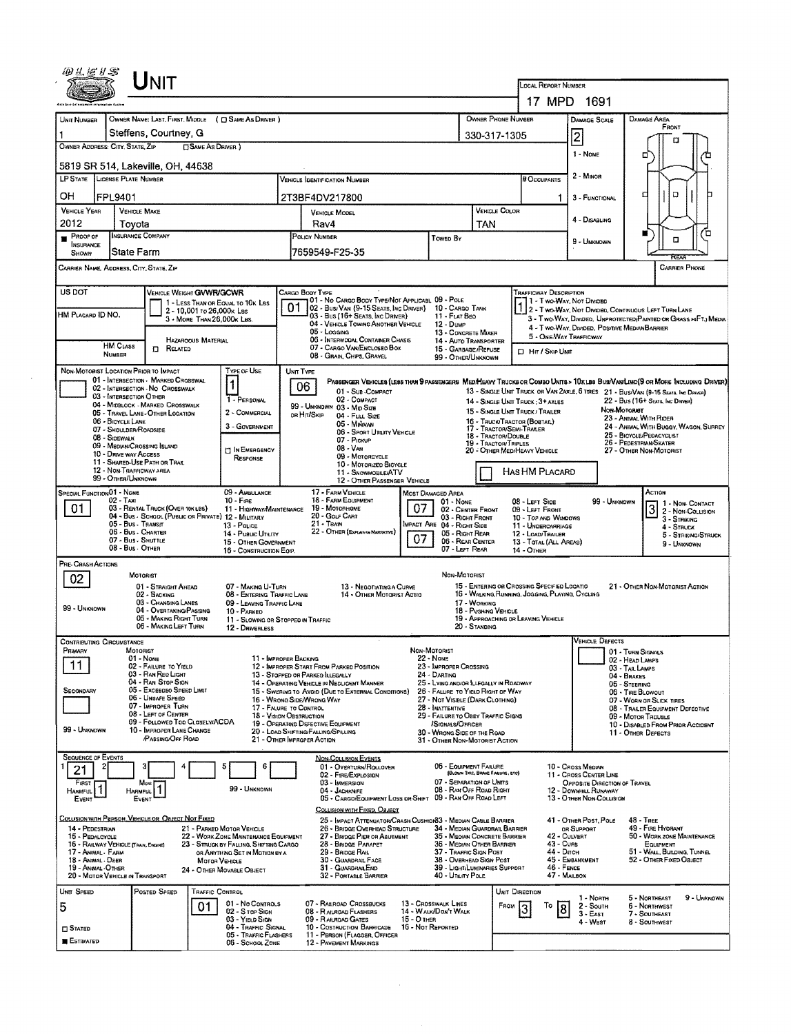|                                                                                                            |                                                     | ${\sf UnIT}$                                        |                            |                                                                          |                                                                                 |                                                                                                                                          |                                               |                                                          |                                    | LOCAL REPORT NUMBER                                                                                                                                                                                            |                                                                   |                                                                                     |                                                   |                                   |                                               |  |  |
|------------------------------------------------------------------------------------------------------------|-----------------------------------------------------|-----------------------------------------------------|----------------------------|--------------------------------------------------------------------------|---------------------------------------------------------------------------------|------------------------------------------------------------------------------------------------------------------------------------------|-----------------------------------------------|----------------------------------------------------------|------------------------------------|----------------------------------------------------------------------------------------------------------------------------------------------------------------------------------------------------------------|-------------------------------------------------------------------|-------------------------------------------------------------------------------------|---------------------------------------------------|-----------------------------------|-----------------------------------------------|--|--|
|                                                                                                            |                                                     |                                                     |                            |                                                                          |                                                                                 |                                                                                                                                          |                                               |                                                          |                                    |                                                                                                                                                                                                                |                                                                   | 17 MPD 1691                                                                         |                                                   |                                   |                                               |  |  |
| UNIT NUMBER                                                                                                |                                                     |                                                     |                            | OWNER NAME: LAST, FIRST, MIDDLE ( C) SAME AS DRIVER )                    |                                                                                 |                                                                                                                                          |                                               |                                                          | OWNER PHONE NUMBER                 |                                                                                                                                                                                                                |                                                                   | DAMAGE SCALE                                                                        |                                                   | <b>DAMAGE AREA</b>                |                                               |  |  |
| 1                                                                                                          |                                                     | Steffens, Courtney, G                               |                            |                                                                          |                                                                                 |                                                                                                                                          |                                               |                                                          | 330-317-1305                       |                                                                                                                                                                                                                |                                                                   | $\overline{2}$                                                                      |                                                   | FRONT                             |                                               |  |  |
| OWNER ADDRESS: CITY, STATE, ZIP                                                                            |                                                     |                                                     | □ SAME AS DRIVER )         |                                                                          |                                                                                 |                                                                                                                                          |                                               |                                                          |                                    |                                                                                                                                                                                                                |                                                                   |                                                                                     |                                                   |                                   | п                                             |  |  |
|                                                                                                            |                                                     |                                                     |                            |                                                                          |                                                                                 |                                                                                                                                          |                                               |                                                          |                                    |                                                                                                                                                                                                                |                                                                   | 1 - NONE                                                                            |                                                   | □                                 |                                               |  |  |
| 5819 SR 514, Lakeville, OH, 44638<br>LP STATE LICENSE PLATE NUMBER                                         |                                                     |                                                     |                            |                                                                          |                                                                                 | <b>VEHICLE IDENTIFICATION NUMBER</b>                                                                                                     |                                               |                                                          |                                    | # Occupants                                                                                                                                                                                                    |                                                                   | 2 MINOR                                                                             |                                                   |                                   |                                               |  |  |
|                                                                                                            |                                                     |                                                     |                            |                                                                          |                                                                                 |                                                                                                                                          |                                               |                                                          |                                    |                                                                                                                                                                                                                |                                                                   |                                                                                     |                                                   |                                   | O                                             |  |  |
| ΟН                                                                                                         | FPL9401                                             |                                                     |                            |                                                                          |                                                                                 | 2T3BF4DV217800                                                                                                                           |                                               |                                                          |                                    |                                                                                                                                                                                                                | 1.                                                                | 3 - FUNCTIONAL                                                                      |                                                   |                                   |                                               |  |  |
| <b>VEHICLE YEAR</b><br>2012                                                                                | <b>VEHICLE MAKE</b><br>Tovota                       |                                                     |                            |                                                                          |                                                                                 | <b>VEHICLE MODEL</b><br>Rav4                                                                                                             |                                               |                                                          | <b>VEHICLE COLOR</b><br><b>TAN</b> |                                                                                                                                                                                                                |                                                                   | 4 - Disabling                                                                       |                                                   |                                   |                                               |  |  |
| PROOF OF                                                                                                   | <b>INSURANCE COMPANY</b>                            |                                                     |                            |                                                                          |                                                                                 | POLICY NUMBER                                                                                                                            |                                               | TOWED BY                                                 |                                    |                                                                                                                                                                                                                |                                                                   |                                                                                     |                                                   | ш                                 | ם                                             |  |  |
| <b>INSURANCE</b><br>SHOWN                                                                                  | State Farm                                          |                                                     |                            |                                                                          |                                                                                 | 7659549-F25-35                                                                                                                           |                                               |                                                          |                                    |                                                                                                                                                                                                                |                                                                   | 9 - UNKNOWN                                                                         |                                                   |                                   | α                                             |  |  |
| CARRIER NAME, ADDRESS, CITY, STATE, ZIP                                                                    |                                                     |                                                     |                            |                                                                          |                                                                                 |                                                                                                                                          |                                               |                                                          |                                    |                                                                                                                                                                                                                |                                                                   |                                                                                     |                                                   |                                   | <b>CARRIER PHONE</b>                          |  |  |
|                                                                                                            |                                                     |                                                     |                            |                                                                          |                                                                                 |                                                                                                                                          |                                               |                                                          |                                    |                                                                                                                                                                                                                |                                                                   |                                                                                     |                                                   |                                   |                                               |  |  |
| US DOT                                                                                                     |                                                     | <b>VEHICLE WEIGHT GVWR/GCWR</b>                     |                            |                                                                          | CARGO BODY TYPE                                                                 |                                                                                                                                          |                                               |                                                          |                                    | <b>TRAFFICWAY DESCRIPTION</b>                                                                                                                                                                                  |                                                                   |                                                                                     |                                                   |                                   |                                               |  |  |
|                                                                                                            |                                                     |                                                     | 2 - 10,001 to 26,000x Las  | 1 - LESS THAN OR EQUAL TO 10K LBS                                        |                                                                                 | 01 - No CARGO BODY TYPE/NOT APPLICABL 09 - POLE<br>02 - Bus/ Van (9-15 Seats, Ing Driver)                                                |                                               | 10 - CARGO TANK                                          |                                    |                                                                                                                                                                                                                |                                                                   | 1 - T WO-WAY, NOT DIVIDED<br>1 2 - T WO-WAY, NOT DIVIDED, CONTINUOUS LEFT TURN LANE |                                                   |                                   |                                               |  |  |
| HM PLACARD ID NO.                                                                                          |                                                     |                                                     | 3 - MORE THAN 26,000K LBS. |                                                                          |                                                                                 | 03 - Bus (16+ SEATS, INC DRIVER)<br>04 - VEHICLE TOWING ANOTHER VEHICLE                                                                  |                                               | 11 - FLAT BEO<br>12 - Duwe                               |                                    |                                                                                                                                                                                                                |                                                                   | 3 - Two-Way, Divideo, Unprotected Painted or Grass >4FT.) Media                     |                                                   |                                   |                                               |  |  |
|                                                                                                            |                                                     |                                                     | HAZAROOUS MATERIAL         |                                                                          |                                                                                 | 05 - Logging<br>06 - INTERMODAL CONTAINER CHASIS                                                                                         |                                               | 13 - CONCRETE MIXER<br>14 - Auto Transporter             |                                    |                                                                                                                                                                                                                |                                                                   | 4 - TWO-WAY, DIVIDED, POSITIVE MEDIAN BARRIER<br>5 - ONE-WAY TRAFFICWAY             |                                                   |                                   |                                               |  |  |
|                                                                                                            | <b>HM CLASS</b><br>NUMBER                           | <b>D</b> RELATED                                    |                            |                                                                          |                                                                                 | 07 - CARGO VAN/ENCLOSED BOX                                                                                                              | 15 - GARBAGE / REFUSE                         |                                                          |                                    | <b>D</b> Hit / Skip UNIT                                                                                                                                                                                       |                                                                   |                                                                                     |                                                   |                                   |                                               |  |  |
|                                                                                                            |                                                     |                                                     |                            |                                                                          |                                                                                 | 08 - Grain, Chips, Gravel                                                                                                                |                                               | 99 - OTHER/UNKNOWN                                       |                                    |                                                                                                                                                                                                                |                                                                   |                                                                                     |                                                   |                                   |                                               |  |  |
| NON-MOTORIST LOCATION PRIOR TO IMPACT                                                                      |                                                     | 01 - INTERSECTION - MARKED CROSSWAL                 |                            | TYPE OF USE                                                              | UNIT TYPE                                                                       | PASSENGER VEHICLES (LESS THAN 9 PASSENGERS MEDIMEANY TRUCKS OR COMBO UNITS > 10xLBS BUS/VAN/LIMO(9 OR MORE INCLUDING DRIVER)             |                                               |                                                          |                                    |                                                                                                                                                                                                                |                                                                   |                                                                                     |                                                   |                                   |                                               |  |  |
|                                                                                                            | 03 - INTERSECTION OTHER                             | 02 - INTERSECTION - NO CROSSWALK                    |                            | $\mathbf{1}$                                                             | 06                                                                              | 01 - Sub-COMPACT                                                                                                                         |                                               |                                                          |                                    |                                                                                                                                                                                                                |                                                                   |                                                                                     |                                                   |                                   |                                               |  |  |
|                                                                                                            |                                                     | 04 - MIDBLOCK - MARKED CROSSWALK                    |                            | 1 - PERSONAL                                                             |                                                                                 | 02 - COMPACT<br>99 - UNKNOWN 03 - MID SIZE                                                                                               |                                               |                                                          |                                    | 13 - SINGLE UNIT TRUCK OR VAN 2AXLE, 6 TIRES 21 - BUS/VAN (9-15 SEATS, INC DRIVER)<br>22 - BUS (16+ SEATS, INC DRIVER)<br>14 - SINGLE UNIT TRUCK: 3+ AXLES<br>NON-MOTORIST<br>15 - SINGLE UNIT TRUCK / TRAILER |                                                                   |                                                                                     |                                                   |                                   |                                               |  |  |
|                                                                                                            | 06 - BICYCLE LANE                                   | 05 - TRAVEL LANE - OTHER LOCATION                   |                            | 2 - COMMERCIAL<br>3 - GOVERNMENT                                         |                                                                                 | OR HIT/SKIP<br>04 - Full Size<br>05 - Miniwan                                                                                            |                                               |                                                          |                                    | 16 - TRUCK/TRACTOR (BOBTAIL)                                                                                                                                                                                   |                                                                   |                                                                                     |                                                   | 23 - ANIMAL WITH RIDER            |                                               |  |  |
|                                                                                                            | 07 - SHOULDER/ROADSIDE<br>08 - SIDEWALK             |                                                     |                            |                                                                          |                                                                                 | 06 - SPORT UTILITY VEHICLE<br>07 - Pickup                                                                                                |                                               |                                                          | 18 - TRACTOR/DOUBLE                | 17 - TRACTOR/SEMI-TRAILER                                                                                                                                                                                      | 24 - ANIMAL WITH BUGGY, WAGON, SURREY<br>25 - BICYCLE/PEDACYCLIST |                                                                                     |                                                   |                                   |                                               |  |  |
|                                                                                                            | 09 - MEDWA/CROSSING ISLAND<br>10 - DRIVE WAY ACCESS |                                                     |                            | IN EMERGENCY                                                             |                                                                                 | 08 - Van                                                                                                                                 |                                               |                                                          | 19 - TRACTOR/TRIPLES               | 20 - OTHER MED/HEAVY VEHICLE                                                                                                                                                                                   |                                                                   |                                                                                     | 26 - PEDESTRIAN/SKATER<br>27 - OTHER NON-MOTORIST |                                   |                                               |  |  |
|                                                                                                            | 11 - SHARED-USE PATH OR TRAIL                       |                                                     |                            | RESPONSE                                                                 |                                                                                 | 09 - MOTORCYCLE<br>10 - Motorizeo Bicycle                                                                                                |                                               |                                                          |                                    |                                                                                                                                                                                                                |                                                                   |                                                                                     |                                                   |                                   |                                               |  |  |
|                                                                                                            | 12 - NON-TRAFFICWAY AREA<br>99 - OTHER/UNKNOWN      |                                                     |                            |                                                                          |                                                                                 | <b>11 - SNOWMOBILE/ATV</b><br>12 - OTHER PASSENGER VEHICLE                                                                               |                                               |                                                          |                                    | HAS HM PLACARD                                                                                                                                                                                                 |                                                                   |                                                                                     |                                                   |                                   |                                               |  |  |
| SPECIAL FUNCTION 01 NONE                                                                                   |                                                     |                                                     |                            | 09 - AMBULANCE                                                           |                                                                                 | 17 - FARM VEHICLE                                                                                                                        |                                               | MOST DAMAGED AREA                                        |                                    |                                                                                                                                                                                                                |                                                                   |                                                                                     |                                                   | ACTION                            |                                               |  |  |
| 01                                                                                                         | 02 - Taxi                                           | 03 - RENTAL TRUCK (OVER 10KLBS)                     |                            | $10 -$ Fine<br>11 - HIGHWAY/MAINTENANCE                                  |                                                                                 | 18 - FARM EQUIPMENT<br>19 - Мотопноме                                                                                                    | 07                                            | $01 - None$<br>02 - CENTER FRONT                         |                                    | 08 - LEFT SIDE<br>09 - LEFT FRONT                                                                                                                                                                              |                                                                   | 99 - UNKNOWN                                                                        |                                                   | $\overline{\mathbf{3}}$           | 1 - Non-Contact                               |  |  |
|                                                                                                            | 05 - Bus Transit                                    | 04 - Bus - SCHODL (PUBLIC OR PRIVATE) 12 - MILITARY |                            | 13 - Pouce                                                               |                                                                                 | 20 - Golf Cart<br>$21 - TRAH$                                                                                                            |                                               | 03 - Right Front<br>MPACT ARE 04 - RIGHT SIDE            |                                    | 10 - TOP AND WINDOWS<br>11 - UNDERCARRIAGE                                                                                                                                                                     |                                                                   |                                                                                     |                                                   |                                   | $\frac{3}{3}$ 2 - Non-Collision<br>4 - STRUCK |  |  |
|                                                                                                            | 06 - Bus - Charter<br>07 - Bus - SHUTTLE            |                                                     |                            | 14 - Pusuc UTILITY                                                       |                                                                                 | 22 - OTHER (EXPLAIN IN MARRATIVE)                                                                                                        | 07                                            | 05 - RIGHT REAR<br>06 - REAR CENTER                      |                                    | 12 - LOAD/TRAILER                                                                                                                                                                                              |                                                                   |                                                                                     |                                                   |                                   | 5 - STRIKING/STRUCK                           |  |  |
|                                                                                                            | 08 - Bus - Other                                    |                                                     |                            | 15 - OTHER GOVERNMENT<br>16 - CONSTRUCTION EOIP.                         |                                                                                 |                                                                                                                                          |                                               | 07 - LEFT REAR                                           |                                    | 13 - TOTAL (ALL AREAS)<br>14 - Отнев                                                                                                                                                                           |                                                                   |                                                                                     |                                                   |                                   | 9 - UNKNOWN                                   |  |  |
| PRE- CRASH ACTIONS                                                                                         |                                                     |                                                     |                            |                                                                          |                                                                                 |                                                                                                                                          |                                               |                                                          |                                    |                                                                                                                                                                                                                |                                                                   |                                                                                     |                                                   |                                   |                                               |  |  |
| 02                                                                                                         | MOTORIST                                            | 01 - STRAIGHT AHEAD                                 |                            | 07 - MAKING U-TURN                                                       |                                                                                 | 13 - NEGOTIATING A CURVE                                                                                                                 |                                               | Non-Motorist                                             |                                    | 15 - ENTERING OR CROSSING SPECIFIED LOCATIO                                                                                                                                                                    |                                                                   |                                                                                     |                                                   |                                   | 21 - OTHER NON-MOTORIST ACTION                |  |  |
|                                                                                                            |                                                     | 02 - BACKING                                        |                            | 08 - ENTERING TRAFFIC LANE                                               |                                                                                 | 14 - OTHER MOTORIST ACTIO                                                                                                                |                                               |                                                          |                                    | 16 - WALKING, RUNNING, JOGGING, PLAYING, CYCLING                                                                                                                                                               |                                                                   |                                                                                     |                                                   |                                   |                                               |  |  |
| 03 - Changing Lanes<br>09 - LEAVING TRAFFIC LANE<br>99 - UNKNOWN<br>04 - OVERTAXING/PASSING<br>10 - PARKED |                                                     |                                                     |                            |                                                                          |                                                                                 |                                                                                                                                          | 17 - WORKING<br>18 - Pushing Vehicle          |                                                          |                                    |                                                                                                                                                                                                                |                                                                   |                                                                                     |                                                   |                                   |                                               |  |  |
|                                                                                                            |                                                     | 05 - MAKING RIGHT TURN<br>06 - MAKING LEFT TURN     |                            | 11 - SLOWING OR STOPPED IN TRAFFIC<br>12 - DRIVERLESS                    |                                                                                 |                                                                                                                                          |                                               |                                                          | $20 -$ Standing                    | 19 - APPROACHING OR LEAVING VEHICLE                                                                                                                                                                            |                                                                   |                                                                                     |                                                   |                                   |                                               |  |  |
| <b>CONTRIBUTING CIRCUMSTANCE</b>                                                                           |                                                     |                                                     |                            |                                                                          |                                                                                 |                                                                                                                                          |                                               |                                                          |                                    |                                                                                                                                                                                                                |                                                                   | <b>VEHICLE DEFECTS</b>                                                              |                                                   |                                   |                                               |  |  |
| PRIMARY                                                                                                    | MOTORIST                                            |                                                     |                            |                                                                          |                                                                                 |                                                                                                                                          | Non-Motorist                                  |                                                          |                                    |                                                                                                                                                                                                                |                                                                   |                                                                                     | 01 - TURN SIGNALS                                 |                                   |                                               |  |  |
| 01 - None<br>11 - IMPROPER BACKING<br>11<br>02 - FAILURE TO YIELD                                          |                                                     |                                                     |                            |                                                                          |                                                                                 | 22 - NONE<br>12 - IMPROPER START FROM PARKED POSITION<br>23 - IMPROPER CROSSING                                                          |                                               |                                                          |                                    |                                                                                                                                                                                                                |                                                                   | 02 - Head Lamps<br>03 - TAIL LAMPS                                                  |                                                   |                                   |                                               |  |  |
| 03 - RAN RED LIGHT<br>04 - RAN STOP SIGN                                                                   |                                                     |                                                     |                            |                                                                          |                                                                                 | 13 - STOPPED OR PARKED ILLEGALLY<br>24 - DARTING<br>14 - OPERATING VEHICLE IN NEGLIGENT MANNER<br>25 - LYING AND/OR ILLEGALLY IN ROADWAY |                                               |                                                          |                                    |                                                                                                                                                                                                                |                                                                   | 04 - BRAKES<br>05 - STEERING                                                        |                                                   |                                   |                                               |  |  |
| SECONDARY                                                                                                  |                                                     | 05 - Excesoso Speed Limit<br>06 - UNSAFE SPEED      |                            |                                                                          | 15 - Swering to Avoid (Due to External Conditions)<br>16 - WRONG SIDE/WRONG WAY | 26 - FALURE TO YIELD RIGHT OF WAY                                                                                                        | 06 - TIRE BLOWOUT<br>07 - WORN OR SLICK TIRES |                                                          |                                    |                                                                                                                                                                                                                |                                                                   |                                                                                     |                                                   |                                   |                                               |  |  |
| 07 - IMPROPER TURN<br>17 - FALURE TO CONTROL<br>08 - LEFT OF CENTER                                        |                                                     |                                                     |                            |                                                                          |                                                                                 | 27 - NOT VISIBLE (DARK CLOTHING)<br>28 - INATTENTIVE<br>18 - VISION OBSTRUCTION<br>29 - FAILURE TO OBEY TRAFFIC SIGNS                    |                                               |                                                          |                                    |                                                                                                                                                                                                                |                                                                   | 08 - TRAILER EQUIPMENT DEFECTIVE<br>09 - Motor TrousLE                              |                                                   |                                   |                                               |  |  |
| 09 - FOLLOWED TOO CLOSELY/ACDA<br>99 - UNKNOWN<br>10 - IMPROPER LANE CHANGE                                |                                                     |                                                     |                            |                                                                          |                                                                                 | 19 - OPERATING DEFECTIVE EQUIPMENT<br>/SIGNALS/OFFICER<br>20 - LOAD SHIFTING/FALLING/SPILLING<br>30 - WRONG SIDE OF THE ROAD             |                                               |                                                          |                                    |                                                                                                                                                                                                                |                                                                   |                                                                                     |                                                   |                                   | 10 - DISABLED FROM PRIOR ACCIDENT             |  |  |
|                                                                                                            |                                                     | <b>/PASSING/OFF ROAD</b>                            |                            |                                                                          | 21 - OTHER IMPROPER ACTION                                                      |                                                                                                                                          |                                               | 31 - ÖTHER NON-MOTORIST ACTION                           |                                    |                                                                                                                                                                                                                |                                                                   |                                                                                     |                                                   | 11 - OTHER DEFECTS                |                                               |  |  |
| <b>SEQUENCE OF EVENTS</b>                                                                                  |                                                     |                                                     |                            |                                                                          |                                                                                 | <b>NON-COLLISION EVENTS</b>                                                                                                              |                                               |                                                          |                                    |                                                                                                                                                                                                                |                                                                   |                                                                                     |                                                   |                                   |                                               |  |  |
| 21                                                                                                         |                                                     |                                                     | 5                          | 6                                                                        |                                                                                 | 01 - Overturn/Rollover                                                                                                                   |                                               | 06 - EQUIPMENT FAILURE                                   | (BLOWN TIRE, BRAKE FARURE, ETC)    |                                                                                                                                                                                                                |                                                                   | 10 - Cross Median                                                                   |                                                   |                                   |                                               |  |  |
| FIRST                                                                                                      | Most                                                |                                                     |                            |                                                                          |                                                                                 | 02 - FIRE/EXPLOSION<br>03 - IMMERSION                                                                                                    |                                               | 07 - SEPARATION OF UNITS                                 |                                    |                                                                                                                                                                                                                |                                                                   | 11 - Cross CENTER LINE<br>OPPOSITE DIRECTION OF TRAVEL                              |                                                   |                                   |                                               |  |  |
| $\mathbf{1}$<br><b>HARMFUL</b><br>Event                                                                    | HARMFUL <sup>1</sup><br>EVENT                       |                                                     |                            | 99 - UNKNOWN                                                             |                                                                                 | 04 - JACKKNIFE<br>05 - CARGO/EQUIPMENT LOSS OR SHIFT                                                                                     |                                               | 08 - RAN OFF ROAD RIGHT<br>09 - RAN OFF ROAD LEFT        |                                    |                                                                                                                                                                                                                |                                                                   | 12 - DOWNHILL RUNAWAY<br>13 - OTHER NON-COLLISION                                   |                                                   |                                   |                                               |  |  |
|                                                                                                            |                                                     |                                                     |                            |                                                                          |                                                                                 | COLLISION WITH FIXED, OBJECT                                                                                                             |                                               |                                                          |                                    |                                                                                                                                                                                                                |                                                                   |                                                                                     |                                                   |                                   |                                               |  |  |
| COLUSION WITH PERSON, VEHICLE OR OBJECT NOT FIXED<br>14 - PEDESTRIAN                                       |                                                     |                                                     |                            | 21 - PARKED MOTOR VEHICLE                                                |                                                                                 | 25 - IMPACT ATTENUATOR/CRASH CUSHION 83 - MEDIAN CABLE BARRIER<br>26 - BRIDGE OVERHEAD STRUCTURE                                         |                                               | 34 - MEDIAN GUARDRAIL BARRIER                            |                                    |                                                                                                                                                                                                                |                                                                   | 41 - OTHER POST, POLE<br>OR SUPPORT                                                 |                                                   | $48 - T$ REE<br>49 - FIRE HYDRANT |                                               |  |  |
| 15 - PEDALCYCLE                                                                                            |                                                     |                                                     |                            | 22 - WORK ZONE MAINTENANCE EQUIPMENT                                     |                                                                                 | 27 - BRIDGE PIER OR ABUTMENT                                                                                                             |                                               | 35 - MEDIAN CONCRETE BARRIER                             |                                    |                                                                                                                                                                                                                | 42 - CULVERT<br>43 - Cuns                                         |                                                                                     |                                                   |                                   | 50 - WORK ZONE MAINTENANCE                    |  |  |
| 16 - RAILWAY VEHICLE (TRAN, ENGINE)<br>17 - ANIMAL - FARM                                                  |                                                     |                                                     |                            | 23 - STRUCK BY FALLING, SHIFTING CARGO<br>OR ANYTHING SET IN MOTION BY A |                                                                                 | 28 - BRIDGE PARAPET<br>29 - BRIDGE FLAIL                                                                                                 |                                               | 36 - MEDIAN OTHER BARRIER<br>37 - TRAFFIC SIGN POST      |                                    |                                                                                                                                                                                                                | 44 - Опсн                                                         |                                                                                     |                                                   | EQUIPMENT                         | 51 - WALL, BUILDING, TUNNEL                   |  |  |
| 18 - Animal - Deer<br>19 - ANMAL-OTHER                                                                     |                                                     |                                                     | <b>MOTOR VEHICLE</b>       | 24 - OTHER MOVABLE OBJECT                                                |                                                                                 | 30 - GUARDRAIL FACE<br>31 - GUARDRAILEND                                                                                                 |                                               | 38 - OVERHEAD SIGN POST<br>39 - LIGHT/LUMINARIES SUPPORT |                                    |                                                                                                                                                                                                                | 46 - FENCE                                                        | 45 - EMBANKMENT                                                                     |                                                   | 52 - Отнев Fixed Овлест           |                                               |  |  |
| 20 - MOTOR VEHICLE IN TRANSPORT                                                                            |                                                     |                                                     |                            |                                                                          |                                                                                 | 32 - PORTABLE BARRIER                                                                                                                    |                                               | 40 - UTILITY POLE                                        |                                    |                                                                                                                                                                                                                | 47 - MAILBOX                                                      |                                                                                     |                                                   |                                   |                                               |  |  |
|                                                                                                            |                                                     | POSTED SPEED                                        | <b>TRAFFIC CONTROL</b>     |                                                                          |                                                                                 |                                                                                                                                          |                                               |                                                          |                                    | UNIT DIRECTION                                                                                                                                                                                                 |                                                                   | 1 - North                                                                           |                                                   |                                   | 9 - UNKNOWN                                   |  |  |
|                                                                                                            |                                                     |                                                     |                            |                                                                          |                                                                                 |                                                                                                                                          |                                               |                                                          |                                    |                                                                                                                                                                                                                |                                                                   |                                                                                     |                                                   | 5 - NORTHEAST                     |                                               |  |  |
| UNIT SPEED<br>5                                                                                            |                                                     |                                                     | 01                         | 01 - No Controls                                                         |                                                                                 | 07 - RAILROAD CROSSBUCKS<br>08 - RAILROAD FLASHERS                                                                                       |                                               | 13 - CROSSWALK LINES<br>14 - WALK/DON'T WALK             |                                    | FROM                                                                                                                                                                                                           | To<br>8                                                           | 2 - South                                                                           |                                                   | 6 - NORTHWEST                     |                                               |  |  |
|                                                                                                            |                                                     |                                                     |                            | 02 - Sitop Sign<br>03 - YIELD SIGN                                       |                                                                                 | 09 - RALROAD GATES                                                                                                                       | 15 - О тиєв                                   |                                                          |                                    |                                                                                                                                                                                                                |                                                                   | $3 - EAST$<br>$4 - W_{EST}$                                                         |                                                   | 7 - SOUTHEAST<br>8 - SOUTHWEST    |                                               |  |  |
| <b>STATED</b><br><b>ESTIMATED</b>                                                                          |                                                     |                                                     |                            | 04 - TRAFFIC SIGNAL<br>05 - TRAFFIC FLASHERS<br>06 - SCHOOL ZONE         |                                                                                 | 10 - COSTRUCTION BARRICADE<br>11 - PERSON (FLAGGER, OFFICER<br>12 - PAVEMENT MARKINGS                                                    | 16 - Not Reported                             |                                                          |                                    |                                                                                                                                                                                                                |                                                                   |                                                                                     |                                                   |                                   |                                               |  |  |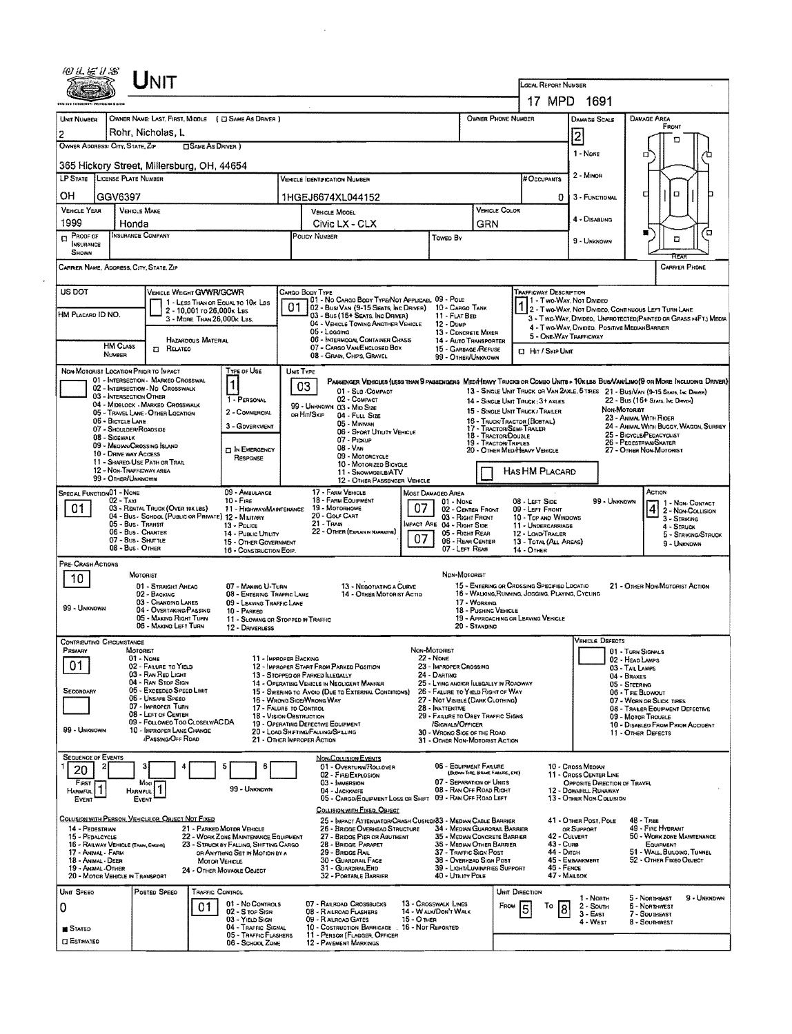|                                                                                                                                                                                                                                                                                                            |                           | UNIT                                                                               |                                                               |                                                                                       |                                                             |                                                                                                                              |                                                     |                                                                              |                                  |                                                                                                                   | LODAL REPORT NUMBER                                                                                                             |                                                                                                                                                    |                                                                    |                                      |                            |  |  |  |
|------------------------------------------------------------------------------------------------------------------------------------------------------------------------------------------------------------------------------------------------------------------------------------------------------------|---------------------------|------------------------------------------------------------------------------------|---------------------------------------------------------------|---------------------------------------------------------------------------------------|-------------------------------------------------------------|------------------------------------------------------------------------------------------------------------------------------|-----------------------------------------------------|------------------------------------------------------------------------------|----------------------------------|-------------------------------------------------------------------------------------------------------------------|---------------------------------------------------------------------------------------------------------------------------------|----------------------------------------------------------------------------------------------------------------------------------------------------|--------------------------------------------------------------------|--------------------------------------|----------------------------|--|--|--|
|                                                                                                                                                                                                                                                                                                            |                           |                                                                                    |                                                               |                                                                                       |                                                             |                                                                                                                              |                                                     |                                                                              |                                  |                                                                                                                   |                                                                                                                                 |                                                                                                                                                    |                                                                    |                                      |                            |  |  |  |
|                                                                                                                                                                                                                                                                                                            |                           |                                                                                    |                                                               |                                                                                       |                                                             |                                                                                                                              |                                                     |                                                                              | 17 MPD 1691                      |                                                                                                                   | DAMAGE AREA                                                                                                                     |                                                                                                                                                    |                                                                    |                                      |                            |  |  |  |
| UNIT NUMBER<br>2                                                                                                                                                                                                                                                                                           |                           | OWNER NAME: LAST, FIRST, MIDDLE ( C SAME AS DRIVER )<br>Rohr, Nicholas, L          |                                                               |                                                                                       |                                                             | OWNER PHONE NUMBER                                                                                                           |                                                     |                                                                              | <b>DAMAGE SCALE</b>              |                                                                                                                   |                                                                                                                                 |                                                                                                                                                    |                                                                    |                                      |                            |  |  |  |
| OWNER ADDRESS: CITY, STATE, ZIP<br><b>SAME AS DRIVER</b> )                                                                                                                                                                                                                                                 |                           |                                                                                    |                                                               |                                                                                       |                                                             |                                                                                                                              |                                                     |                                                                              |                                  |                                                                                                                   |                                                                                                                                 | 2<br>1 - None                                                                                                                                      |                                                                    |                                      |                            |  |  |  |
| 365 Hickory Street, Millersburg, OH, 44654                                                                                                                                                                                                                                                                 |                           |                                                                                    |                                                               |                                                                                       |                                                             |                                                                                                                              |                                                     |                                                                              |                                  |                                                                                                                   |                                                                                                                                 |                                                                                                                                                    | п                                                                  |                                      |                            |  |  |  |
| LP STATE LICENSE PLATE NUMBER                                                                                                                                                                                                                                                                              |                           |                                                                                    |                                                               |                                                                                       |                                                             | <b>VEHICLE IDENTIFICATION NUMBER</b>                                                                                         |                                                     |                                                                              |                                  |                                                                                                                   | # Occupants                                                                                                                     | 2 - Minon                                                                                                                                          |                                                                    |                                      |                            |  |  |  |
| OН                                                                                                                                                                                                                                                                                                         | GGV6397                   |                                                                                    |                                                               |                                                                                       |                                                             | 1HGEJ6674XL044152                                                                                                            |                                                     |                                                                              |                                  |                                                                                                                   | 0                                                                                                                               | 3 - FUNCTIONAL                                                                                                                                     | ч                                                                  | α                                    |                            |  |  |  |
| <b>VEHICLE YEAR</b><br>1999                                                                                                                                                                                                                                                                                |                           | <b>VEHICLE MAKE</b><br>Honda                                                       |                                                               |                                                                                       |                                                             | VEHICLE MODEL<br>Civic LX - CLX                                                                                              |                                                     |                                                                              | GRN                              | <b>VEHICLE COLOR</b>                                                                                              |                                                                                                                                 | 4 - DISABLING                                                                                                                                      |                                                                    |                                      |                            |  |  |  |
| PROOF OF<br>$\Box$                                                                                                                                                                                                                                                                                         |                           | Insurance Company                                                                  |                                                               |                                                                                       |                                                             | POLICY NUMBER                                                                                                                |                                                     | Towed By                                                                     |                                  |                                                                                                                   |                                                                                                                                 | 9 - UNKNOWN                                                                                                                                        |                                                                    | σ<br>$\Box$                          |                            |  |  |  |
| INSURANCE<br>SHOWN                                                                                                                                                                                                                                                                                         |                           |                                                                                    |                                                               |                                                                                       |                                                             |                                                                                                                              |                                                     |                                                                              |                                  |                                                                                                                   |                                                                                                                                 |                                                                                                                                                    |                                                                    |                                      |                            |  |  |  |
|                                                                                                                                                                                                                                                                                                            |                           | CARRIER NAME, ADDRESS, CITY, STATE, ZIP                                            |                                                               |                                                                                       |                                                             |                                                                                                                              |                                                     |                                                                              |                                  |                                                                                                                   |                                                                                                                                 |                                                                                                                                                    |                                                                    |                                      | <b>CARRIER PHONE</b>       |  |  |  |
| US DOT                                                                                                                                                                                                                                                                                                     |                           | VEHICLE WEIGHT GVWR/GCWR                                                           |                                                               |                                                                                       |                                                             | CARGO BOOY TYPE<br>101 - No Cargo Booy TyperNot Applicabl 09 - Pole                                                          |                                                     |                                                                              |                                  |                                                                                                                   | <b>TRAFFICWAY DESCRIPTION</b><br>11 - Two Way, Not Divideo                                                                      |                                                                                                                                                    |                                                                    |                                      |                            |  |  |  |
| HM PLACARD ID NO.                                                                                                                                                                                                                                                                                          |                           |                                                                                    | 2 - 10,001 то 26,000к Las<br>3 - MORE THAN 26,000K LBS.       | 1 - LESS THAN OR EQUAL TO 10K LBS                                                     | 01                                                          | 02 - Bus/Van (9-15 Seats, Inc Driver)<br>03 - Bus (16+ Seats, Inc Driver)                                                    |                                                     | 10 - CARGO TANK<br>11 - FLAT BED                                             |                                  |                                                                                                                   |                                                                                                                                 | 1 - Two-Way, Not Divided<br>2 - Two-Way, Not Divideo, Continuous Left Turn Lane<br>3 - Two-Way, Divideo, Unprotected(Painted or Grass >4FT.) Media |                                                                    |                                      |                            |  |  |  |
|                                                                                                                                                                                                                                                                                                            |                           |                                                                                    |                                                               |                                                                                       |                                                             | 04 - VEHICLE TOWING ANOTHER VEHICLE<br>05 - Logging                                                                          |                                                     | 12 - Dump<br>13 - CONCRETE MIXER                                             |                                  |                                                                                                                   | 5 - ONE-WAY TRAFFICWAY                                                                                                          | 4 - T WO-WAY, DIVIDED. POSITIVE MEDIAN BARRIER                                                                                                     |                                                                    |                                      |                            |  |  |  |
|                                                                                                                                                                                                                                                                                                            | <b>HM CLASS</b><br>NUMBER | <b>CI RELATED</b>                                                                  | HAZAROOUS MATERIAL                                            |                                                                                       |                                                             | 06 - INTERMOOAL CONTAINER CHASIS<br>07 - CARGO VAN ENGLOSED BOX                                                              |                                                     | 14 - AUTO TRANSPORTER<br>15 - GARBAGE /REFUSE                                |                                  |                                                                                                                   | $\Box$ Hr / Skip Unit                                                                                                           |                                                                                                                                                    |                                                                    |                                      |                            |  |  |  |
|                                                                                                                                                                                                                                                                                                            |                           | NON-MOTORIST LOCATION PRIOR TO IMPACT                                              |                                                               | TYPE OF USE                                                                           | UNIT TYPE                                                   | 08 - GRAIN, CHIPS, GRAVEL                                                                                                    |                                                     | 99 - OTHER/UNKNOWN                                                           |                                  |                                                                                                                   |                                                                                                                                 |                                                                                                                                                    |                                                                    |                                      |                            |  |  |  |
|                                                                                                                                                                                                                                                                                                            |                           | 01 - INTERSECTION - MARKEO CROSSWAL                                                |                                                               | $\mathbf 1$                                                                           | 03                                                          | PASSENGER VEHICLES (LESS THAN 9 PASSENGENS MEDIMEAVY TRUCKS OR COMBO UNITS > 10KLBS BUS/VAN/LIMO(9 OR MORE INCLUDING DRIVER) |                                                     |                                                                              |                                  |                                                                                                                   |                                                                                                                                 |                                                                                                                                                    |                                                                    |                                      |                            |  |  |  |
| 02 - INTERSECTION - NO CROSSWALK<br>13 - SINGLE UNIT TRUCK OR VAN 2AXLE, 6 TRES 21 - BUS/VAN (9-15 SEATS, INC DRIVER)<br>01 - Sub-COMPACT<br>03 - INTERSECTION OTHER<br>02 - COMPACT<br>1 - PERSONAL<br>14 - SINGLE UNIT TRUCK: 3+ AXLES<br>04 - MIDBLOCK - MARKED CROSSWALK<br>99 - UNKNOWN 03 - MID SIZE |                           |                                                                                    |                                                               |                                                                                       |                                                             |                                                                                                                              |                                                     |                                                                              |                                  |                                                                                                                   |                                                                                                                                 |                                                                                                                                                    | 22 - BUS (16+ SEATS, INC DRIVER)                                   |                                      |                            |  |  |  |
|                                                                                                                                                                                                                                                                                                            | 06 - BICYCLE LANE         | 05 - TRAVEL LANE - OTHER LOCATION                                                  |                                                               | 2 - COMMERCIAL                                                                        |                                                             | og Hit/Skip<br>04 - FULL SIZE<br>05 - MINIVAN                                                                                |                                                     |                                                                              |                                  |                                                                                                                   | <b><i><u>Мон Мотокіат</u></i></b><br>15 - SINGLE UNIT TRUCK / TRAILER<br>23 - ANIMAL WITH RICER<br>16 - TRUCK/TRACTOR (BOBTAIL) |                                                                                                                                                    |                                                                    |                                      |                            |  |  |  |
|                                                                                                                                                                                                                                                                                                            | 08 - SIDEWALK             | 07 - SHOULDER/ROADSIDE                                                             |                                                               | 3 - GOVERNMENT                                                                        |                                                             | 06 - SPORT UTILITY VEHICLE<br>07 - Pickup                                                                                    | 17 - TRACTOR/SEMI-TRAILER<br>18 - TRACTOR/DOUBLE    |                                                                              |                                  | 26 - PEDESTRIAN/SKATER                                                                                            | 25 - BICYCLE/PEDACYCLIST                                                                                                        | 24 - ANIMAL WITH BUGGY, WAGON, SURREY                                                                                                              |                                                                    |                                      |                            |  |  |  |
|                                                                                                                                                                                                                                                                                                            | 10 - DRIVE WAY ACCESS     | 09 - MEOVAN CROSSING ISLAND                                                        |                                                               | IN EMERGENCY<br>RESPONSE                                                              |                                                             | 19 - Tractor Triples<br>$08 - V_{AN}$<br>20 - OTHER MEDIHEAVY VEHICLE<br>09 - Motorcycle                                     |                                                     |                                                                              |                                  |                                                                                                                   |                                                                                                                                 |                                                                                                                                                    |                                                                    | 27 - OTHER NON-MOTORIST              |                            |  |  |  |
| 11 - SHAREO-USE PATH OR TRAIL<br>10 - MOTORIZED BICYCLE<br>12 - NON-TRAFFICWAY AREA<br>HAS HM PLACARD<br>11 - SNOWMOBILE/ATV<br>99 - OTHER/UNKNOWN<br>12 - OTHER PASSENGER VEHICLE                                                                                                                         |                           |                                                                                    |                                                               |                                                                                       |                                                             |                                                                                                                              |                                                     |                                                                              |                                  |                                                                                                                   |                                                                                                                                 |                                                                                                                                                    |                                                                    |                                      |                            |  |  |  |
| <b>SPECIAL FUNCTION 01 - NONE</b>                                                                                                                                                                                                                                                                          |                           |                                                                                    |                                                               | 09 - AMBULANCE                                                                        |                                                             | 17 - FARM VEHICLE                                                                                                            | <b>MOST DAMAGEO AREA</b>                            |                                                                              |                                  |                                                                                                                   |                                                                                                                                 |                                                                                                                                                    |                                                                    | Action                               |                            |  |  |  |
| 02 - Taxi<br>$10 -$ Fine<br>01.<br>03 - RENTAL TRUCK (OVER 10K LBS)<br>11 - HIGHWAY/MAINTENANCE<br>04 - Bus - School (Public or Private) 12 - Military                                                                                                                                                     |                           |                                                                                    |                                                               |                                                                                       |                                                             | 18 - FARM EQUIPMENT<br>19 - MOTORHOME<br>20 - Gour Carlt                                                                     | 01 - None<br>02 - CENTER FRONT                      |                                                                              |                                  | 08 - LEFT SIDE<br>09 - LEFT FRONT                                                                                 | 99 - UNKNOWN                                                                                                                    |                                                                                                                                                    |                                                                    | 1 - Non-Contact<br>2 - Non-Collision |                            |  |  |  |
|                                                                                                                                                                                                                                                                                                            |                           | 05 - Bus - Transit<br>06 - Bus - CHARTER                                           |                                                               | 13 - Pouce<br>14 - PUBLIC UTILITY                                                     |                                                             | $21 -$ Train<br>22 - OTHER (EXPLAIN IN NARRATIVE)                                                                            | 03 - Right Front<br>MPACT ARE 04 - RIGHT SIDE       |                                                                              |                                  | 10 - Top and Windows<br>11 - UNDERCARRIAGE<br>12 - LOAD/TRAILER                                                   |                                                                                                                                 |                                                                                                                                                    | 3 - STRIKING<br>4 - STRUCK<br>5 - STRIKING/STRUCK                  |                                      |                            |  |  |  |
|                                                                                                                                                                                                                                                                                                            |                           | 07 - Bus - SHUTTLE<br>08 - Bus - OTHER                                             |                                                               | 15 - OTHER GOVERNMENT<br>16 - CONSTRUCTION EOIP.                                      | 05 - Right Rear<br>07<br>06 - REAR CENTER<br>07 - LEFT REAR |                                                                                                                              |                                                     |                                                                              |                                  | 13 - TOTAL (ALL AREAS)<br><b>14 - OTHER</b>                                                                       |                                                                                                                                 | 9 - UNKNOWN                                                                                                                                        |                                                                    |                                      |                            |  |  |  |
| Pre- Crash Actions                                                                                                                                                                                                                                                                                         |                           |                                                                                    |                                                               |                                                                                       |                                                             |                                                                                                                              |                                                     |                                                                              |                                  |                                                                                                                   |                                                                                                                                 |                                                                                                                                                    |                                                                    |                                      |                            |  |  |  |
| 10                                                                                                                                                                                                                                                                                                         |                           | MOTORIST<br>01 - STRAIGHT AHEAO                                                    |                                                               | 07 - MAKING U-TURN                                                                    |                                                             | 13 - NEGOTIATING A CURVE                                                                                                     |                                                     | Non-Motorist                                                                 |                                  |                                                                                                                   | 15 - ENTERING OR CROSSING SPECIFIED LOCATIO                                                                                     |                                                                                                                                                    |                                                                    | 21 - OTHER NON-MOTORIST ACTION       |                            |  |  |  |
|                                                                                                                                                                                                                                                                                                            |                           | 02 - BACKING<br>03 - CHANGING LANES                                                |                                                               | 08 - ENTERING TRAFFIC LANE<br>09 - LEAVING TRAFFIC LANE                               |                                                             | 14 - OTHER MOTORIST ACTIO                                                                                                    | 17 - WORKING                                        | 16 - WALKING, RUNNING, JOGGING, PLAYING, CYCLING                             |                                  |                                                                                                                   |                                                                                                                                 |                                                                                                                                                    |                                                                    |                                      |                            |  |  |  |
| 99 - Unknown                                                                                                                                                                                                                                                                                               |                           | 04 - OVERTAKING/PASSING<br>05 - MAKING RIGHT TURN                                  |                                                               | 10 - PARKED<br>11 - SLOWING OR STOPPED IN TRAFFIC                                     |                                                             |                                                                                                                              |                                                     |                                                                              | 18 - PUSHING VEHICLE             |                                                                                                                   | 19 - APPROACHING OR LEAVING VEHICLE                                                                                             |                                                                                                                                                    |                                                                    |                                      |                            |  |  |  |
| <b>CONTRIBUTING CIRCUMSTANCE</b>                                                                                                                                                                                                                                                                           |                           | 06 - MAKING LEFT TURN                                                              |                                                               | 12 - DRIVERLESS                                                                       |                                                             |                                                                                                                              |                                                     |                                                                              | 20 - Standing                    |                                                                                                                   |                                                                                                                                 | <b>VEHICLE DEFECTS</b>                                                                                                                             |                                                                    |                                      |                            |  |  |  |
| Рямаят                                                                                                                                                                                                                                                                                                     |                           | MOTORIST<br>01 - None                                                              |                                                               | 11 - IMPROPER BACKING                                                                 |                                                             |                                                                                                                              | Non-Motorist<br>22 - NONE                           |                                                                              |                                  |                                                                                                                   |                                                                                                                                 |                                                                                                                                                    | 01 - TURN SIGNALS<br>02 - Head Lamps                               |                                      |                            |  |  |  |
| 01                                                                                                                                                                                                                                                                                                         |                           | 02 - FAILURE TO YIELD<br>03 - RAN REO LIGHT                                        |                                                               |                                                                                       |                                                             | 12 - IMPROPER START FROM PARKED POSITION<br>13 - STOPPEO OR PARKED ILLEGALLY                                                 |                                                     | 23 - IMPROPER CROSSING<br>24 - DARTING                                       |                                  |                                                                                                                   |                                                                                                                                 |                                                                                                                                                    | 03 - TAIL LAMPS<br>04 - BRAKES                                     |                                      |                            |  |  |  |
| SECONDARY                                                                                                                                                                                                                                                                                                  |                           | 04 - RAN STOP SIGN<br>05 - Exceeped Speed LIMIT                                    |                                                               |                                                                                       |                                                             | 14 - OPERATING VEHICLE IN NEGLIGENT MANNER<br>15 - Swering to Avoid (Due to External Conditions)                             |                                                     |                                                                              |                                  | 25 - LYING ANDIOR ILLEGALLY IN ROADWAY<br>05 - STEERING<br>26 - FALURE TO YIELD RIGHT OF WAY<br>06 - TIRE BLOWOUT |                                                                                                                                 |                                                                                                                                                    |                                                                    |                                      |                            |  |  |  |
|                                                                                                                                                                                                                                                                                                            |                           | 06 - UNSAFE SPEED<br>07 - IMPROPER TURN                                            |                                                               | 17 - FALURE TO CONTROL                                                                |                                                             | 16 - WRONG SIDE/WRONG WAY                                                                                                    |                                                     | 27 - NOT VISIBLE (DARK CLOTHING)<br>28 - INATTENTIVE                         |                                  |                                                                                                                   |                                                                                                                                 | 07 - WORN OR SLICK TIRES<br>08 - TRALER EOUIPMENT DEFECTIVE                                                                                        |                                                                    |                                      |                            |  |  |  |
| 99 - UNKNOWN                                                                                                                                                                                                                                                                                               |                           | 08 - LEFT OF CENTER<br>09 - FOLLOWED TOO CLOSELY/ACDA<br>10 - IMPROPER LANE CHANGE | 18 - Vision Obstruction<br>19 - OPERATING DEFECTIVE EQUIPMENT | 29 - FAILURE TO OBEY TRAFFIC SIGNS<br>/SIGNALS/OFFICER<br>30 - WRONG SIDE OF THE ROAD |                                                             |                                                                                                                              |                                                     |                                                                              |                                  | 09 - Moror TrousLE<br>10 - Disabled From Prior Accident                                                           |                                                                                                                                 |                                                                                                                                                    |                                                                    |                                      |                            |  |  |  |
|                                                                                                                                                                                                                                                                                                            |                           | /Passing/Off Road                                                                  |                                                               |                                                                                       |                                                             | 20 - LOAD SHIFTING/FALLING/SPILLING<br>21 - OTHER IMPROPER ACTION                                                            |                                                     | 31 - Other Non-Motorist Action                                               |                                  |                                                                                                                   |                                                                                                                                 |                                                                                                                                                    | 11 - OTHER DEFECTS                                                 |                                      |                            |  |  |  |
| <b>SEQUENCE OF EVENTS</b>                                                                                                                                                                                                                                                                                  | z                         |                                                                                    |                                                               | 5<br>6                                                                                |                                                             | NON-COLLISION EVENTS<br>01 - OVERTURN/ROLLOVER                                                                               |                                                     | 06 - EQUIPMENT FAILURE                                                       |                                  |                                                                                                                   |                                                                                                                                 | 10 - CROSS MEOIAN                                                                                                                                  |                                                                    |                                      |                            |  |  |  |
| 20<br>Finst                                                                                                                                                                                                                                                                                                |                           | Most                                                                               |                                                               |                                                                                       |                                                             | 02 - FIRE/EXPLOSION<br>03 - IMMERSION                                                                                        |                                                     | 07 - SEPARATION OF UNITS                                                     | (BLOWN TIRE, BRAKE FAILURE, ETC) |                                                                                                                   |                                                                                                                                 | 11 - CROSS CENTER LINE<br>OPPOSITE DIRECTION OF TRAVEL                                                                                             |                                                                    |                                      |                            |  |  |  |
| 1<br>HARMFUL<br>EVENT                                                                                                                                                                                                                                                                                      |                           | <b>HARMFUL</b><br>EVENT                                                            |                                                               | 99 - Unknown                                                                          |                                                             | 04 - JACKKNIFE<br>05 - CARGO/EQUIPMENT LOSS OR SHIFT 09 - RAN OFF ROAD LEFT                                                  |                                                     | 08 - RAN OFF ROAD RIGHT                                                      |                                  |                                                                                                                   |                                                                                                                                 | 12 - DOWNHEL RUNAWAY<br>13 - OTHER NON-COLLISION                                                                                                   |                                                                    |                                      |                            |  |  |  |
|                                                                                                                                                                                                                                                                                                            |                           | COLLISION WITH PERSON, VEHICLE OR OBJECT NOT FIXED                                 |                                                               |                                                                                       |                                                             | COLLISION WITH FIXED, OBJECT<br>25 - IMPACT ATTENUATOR/CRASH CUSHIDI83 - MEDIAN CABLE BARRIER                                |                                                     |                                                                              |                                  |                                                                                                                   |                                                                                                                                 | 41 - OTHER POST, POLE                                                                                                                              | 48 - Тяан                                                          |                                      |                            |  |  |  |
| 14 - PEDESTRIAN<br>15 - PEDALCYCLE                                                                                                                                                                                                                                                                         |                           |                                                                                    |                                                               | 21 - PARKED MOTOR VEHICLE<br>22 - WORK ZONE MAINTENANCE EQUIPMENT                     |                                                             | 26 - BRIDGE OVERHEAD STRUCTURE<br>27 - BRIDGE PIER OR ABUTMENT                                                               |                                                     | 34 - MEDIAN GUARORAIL BARRIER<br>35 - MEDIAN CONCRETE BARRIER                |                                  |                                                                                                                   |                                                                                                                                 | OR SUPPORT<br>42 - CULVERT                                                                                                                         |                                                                    | 49 - FIRE HYDRANT                    | 50 - WORK ZONE MAINTENANCE |  |  |  |
| 16 - RAILWAY VEHICLE (TRAN, ENGINE)<br>17 - ANDAAL - FARM                                                                                                                                                                                                                                                  |                           |                                                                                    |                                                               | 23 - STRUCK BY FALLING, SHIFTING CARGO<br>OR ANYTHING SET IN MOTION BY A              |                                                             | 28 - BRIDGE PARAPET<br>29 - BRIDGE RAIL                                                                                      | 36 - Median Other Barrier<br>37 - TRAFFIC SIGN POST |                                                                              |                                  | 43 - Cura<br>44 - Опсн                                                                                            |                                                                                                                                 |                                                                                                                                                    | EQUIPMENT<br>51 - WALL, BUILOING, TUNNEL<br>52 - Отнев Ежео Овлест |                                      |                            |  |  |  |
| 18 - Animal - Deer<br>19 - ANGIAL-OTHER                                                                                                                                                                                                                                                                    |                           | 20 - MOTOR VEHICLE IN TRANSPORT                                                    | <b>MOTOR VEHICLE</b>                                          | 24 - OTHER MOVABLE OBJECT                                                             |                                                             | 30 - GUARDRAIL FACE<br>31 - GUARDRAILEND<br>32 - PORTABLE BARRIER                                                            |                                                     | 38 - Overhead Sign Post<br>39 - LIGHT/LUMINARIES SUPPORT<br>40 - UTRITY POLE |                                  |                                                                                                                   | 46 - FENCE<br>47 - MALBOX                                                                                                       | 45 - Емаликмемт                                                                                                                                    |                                                                    |                                      |                            |  |  |  |
| UNIT SPEED                                                                                                                                                                                                                                                                                                 |                           | Postep SPEEO                                                                       | TRAFFIC CONTROL                                               |                                                                                       |                                                             |                                                                                                                              |                                                     |                                                                              |                                  | UNIT DIRECTION                                                                                                    |                                                                                                                                 |                                                                                                                                                    |                                                                    |                                      |                            |  |  |  |
| 0                                                                                                                                                                                                                                                                                                          |                           |                                                                                    | 01                                                            | 01 - No Controls<br>02 - S TOP SIGN                                                   |                                                             | 07 - RAILROAD CROSSBUCKS<br>08 - RAILROAD FLASHERS                                                                           | 13 - CROSSWALK LINES                                | 14 - WALK/DON'T WALK                                                         |                                  | FROM                                                                                                              | To<br>8<br>5                                                                                                                    | 1 - North<br>$2 -$ South                                                                                                                           |                                                                    | 5 - Northeast<br>6 - Northwest       | 9 - UNKNOWN                |  |  |  |
| <b>S</b> TATED                                                                                                                                                                                                                                                                                             |                           |                                                                                    |                                                               | 03 - YIELD SIGN<br>04 - TRAFFIC SIGNAL                                                |                                                             | 09 - RAILROAD GATES<br>10 - COSTRUCTION BARRICADE . 16 - NOT REPORTED                                                        | 15 - О тнен                                         |                                                                              |                                  |                                                                                                                   |                                                                                                                                 | $3 - East$<br>4 - West                                                                                                                             |                                                                    | 7 - Southeast<br>8 - Southwest       |                            |  |  |  |
| <b>CI ESTIMATEO</b>                                                                                                                                                                                                                                                                                        |                           |                                                                                    |                                                               | 05 - TRAFFIC FLASHERS<br>06 - Schoot Zone                                             |                                                             | 11 - PERSON (FLAGGER, OFFICER<br>12 - PAVEMENT MARKINGS                                                                      |                                                     |                                                                              |                                  |                                                                                                                   |                                                                                                                                 |                                                                                                                                                    |                                                                    |                                      |                            |  |  |  |

 $\mathcal{L}_{\mathcal{L}}$ 

 $\bar{.}$